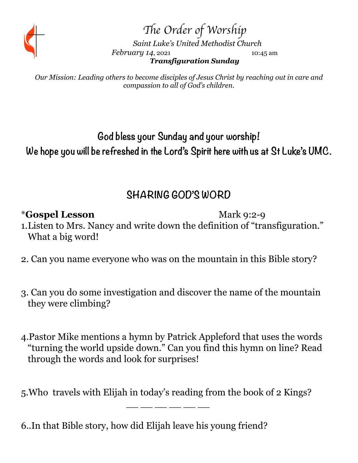

Th*e Order of Worship*

 *Saint Luke's United Methodist Church February 14, 2021* 10:45 am *Transfiguration Sunday*

*Our Mission: Leading others to become disciples of Jesus Christ by reaching out in care and compassion to all of God's children.* 

# **God bless your Sunday and your worship! We hope you will be refreshed in the Lord's Spirit here with us at St Luke's UMC.**

# **SHARING GOD'S WORD**

### \***Gospel Lesson** Mark 9:2-9

- 1.Listen to Mrs. Nancy and write down the definition of "transfiguration." What a big word!
- 2. Can you name everyone who was on the mountain in this Bible story?
- 3. Can you do some investigation and discover the name of the mountain they were climbing?
- 4.Pastor Mike mentions a hymn by Patrick Appleford that uses the words "turning the world upside down." Can you find this hymn on line? Read through the words and look for surprises!
- 5.Who travels with Elijah in today's reading from the book of 2 Kings?

\_\_\_ \_\_ \_\_ \_\_ \_\_ \_\_ \_\_ \_\_

6..In that Bible story, how did Elijah leave his young friend?